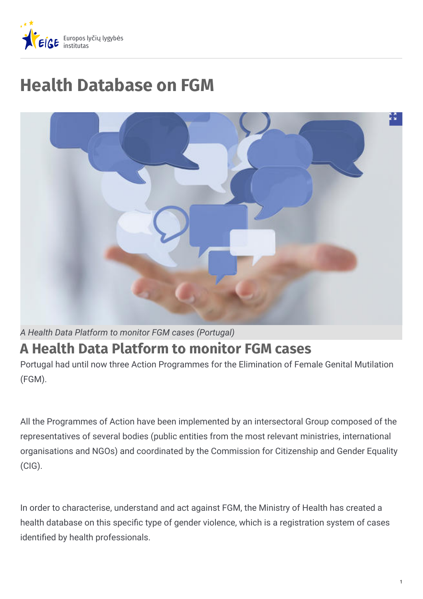

# **Health Database on FGM**



## **A Health Data Platform to monitor FGM cases**

Portugal had until now three Action Programmes for the Elimination of Female Genital Mutilation (FGM).

All the Programmes of Action have been implemented by an intersectoral Group composed of the representatives of several bodies (public entities from the most relevant ministries, international organisations and NGOs) and coordinated by the Commission for Citizenship and Gender Equality (CIG).

In order to characterise, understand and act against FGM, the Ministry of Health has created a health database on this specific type of gender violence, which is a registration system of cases identified by health professionals.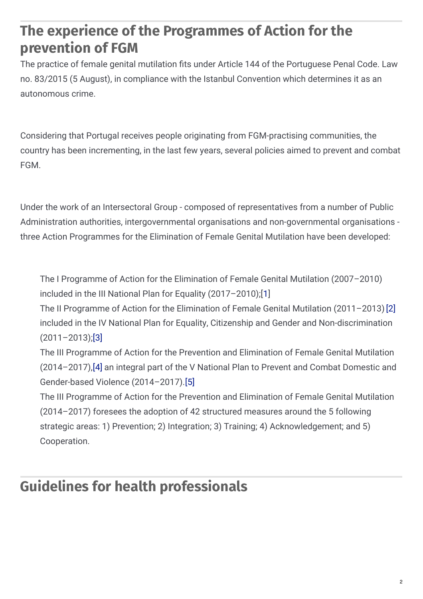## **The experience of the Programmes of Action for the prevention of FGM**

The practice of female genital mutilation fits under Article 144 of the Portuguese Penal Code. Law no. 83/2015 (5 August), in compliance with the Istanbul Convention which determines it as an autonomous crime.

Considering that Portugal receives people originating from FGM-practising communities, the country has been incrementing, in the last few years, several policies aimed to prevent and combat FGM.

Under the work of an Intersectoral Group - composed of representatives from a number of Public Administration authorities, intergovernmental organisations and non-governmental organisations three Action Programmes for the Elimination of Female Genital Mutilation have been developed:

The I Programme of Action for the Elimination of Female Genital Mutilation (2007–2010) included in the III National Plan for Equality (2017–2010);[[1](https://eige.europa.eu/lt/gender-based-violence/good-practices/portugal/health-database-fgm?lang=da#1)]

The II Programme of Action for the Elimination of Female Genital Mutilation (2011–2013)[\[2\]](https://eige.europa.eu/lt/gender-based-violence/good-practices/portugal/health-database-fgm?lang=da#2) included in the IV National Plan for Equality, Citizenship and Gender and Non-discrimination  $(2011 - 2013)$ [;\[3\]](https://eige.europa.eu/lt/gender-based-violence/good-practices/portugal/health-database-fgm?lang=da#3)

The III Programme of Action for the Prevention and Elimination of Female Genital Mutilation (2014–2017)[,\[4\]](https://eige.europa.eu/lt/gender-based-violence/good-practices/portugal/health-database-fgm?lang=da#4) an integral part of the V National Plan to Prevent and Combat Domestic and Gender-based Violence (2014–2017)[.\[5\]](https://eige.europa.eu/lt/gender-based-violence/good-practices/portugal/health-database-fgm?lang=da#5)

The III Programme of Action for the Prevention and Elimination of Female Genital Mutilation (2014–2017) foresees the adoption of 42 structured measures around the 5 following strategic areas: 1) Prevention; 2) Integration; 3) Training; 4) Acknowledgement; and 5) Cooperation.

## **Guidelines for health professionals**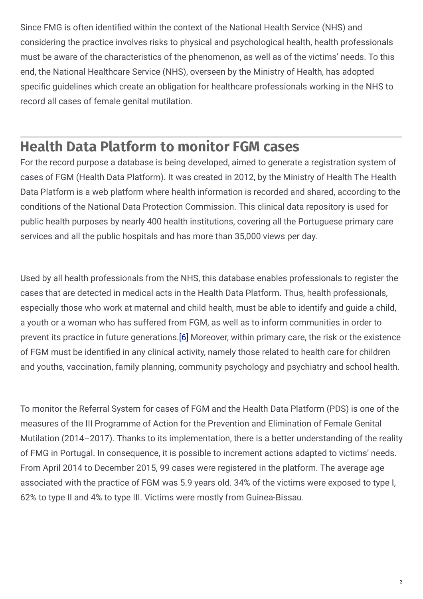Since FMG is often identified within the context of the National Health Service (NHS) and considering the practice involves risks to physical and psychological health, health professionals must be aware of the characteristics of the phenomenon, as well as of the victims' needs. To this end, the National Healthcare Service (NHS), overseen by the Ministry of Health, has adopted specific guidelines which create an obligation for healthcare professionals working in the NHS to record all cases of female genital mutilation.

### **Health Data Platform to monitor FGM cases**

For the record purpose a database is being developed, aimed to generate a registration system of cases of FGM (Health Data Platform). It was created in 2012, by the Ministry of Health The Health Data Platform is a web platform where health information is recorded and shared, according to the conditions of the National Data Protection Commission. This clinical data repository is used for public health purposes by nearly 400 health institutions, covering all the Portuguese primary care services and all the public hospitals and has more than 35,000 views per day.

Used by all health professionals from the NHS, this database enables professionals to register the cases that are detected in medical acts in the Health Data Platform. Thus, health professionals, especially those who work at maternal and child health, must be able to identify and guide a child, a youth or a woman who has suffered from FGM, as well as to inform communities in order to prevent its practice in future generations[.\[6\]](https://eige.europa.eu/lt/gender-based-violence/good-practices/portugal/health-database-fgm?lang=da#6) Moreover, within primary care, the risk or the existence of FGM must be identified in any clinical activity, namely those related to health care for children and youths, vaccination, family planning, community psychology and psychiatry and school health.

To monitor the Referral System for cases of FGM and the Health Data Platform (PDS) is one of the measures of the III Programme of Action for the Prevention and Elimination of Female Genital Mutilation (2014–2017). Thanks to its implementation, there is a better understanding of the reality of FMG in Portugal. In consequence, it is possible to increment actions adapted to victims' needs. From April 2014 to December 2015, 99 cases were registered in the platform. The average age associated with the practice of FGM was 5.9 years old. 34% of the victims were exposed to type I, 62% to type II and 4% to type III. Victims were mostly from Guinea-Bissau.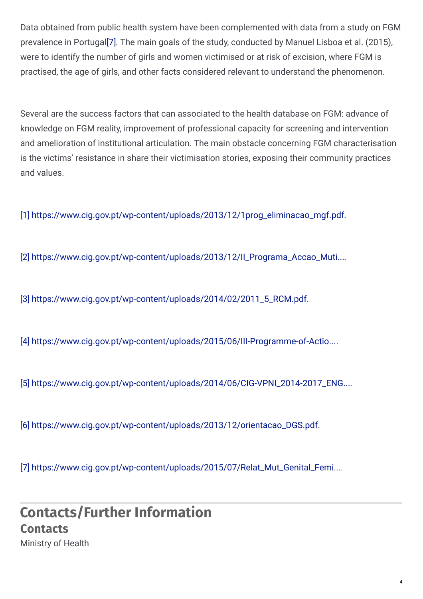Data obtained from public health system have been complemented with data from a study on FGM prevalence in Portuga[l\[7\]](https://eige.europa.eu/lt/gender-based-violence/good-practices/portugal/health-database-fgm?lang=da#7). The main goals of the study, conducted by Manuel Lisboa et al. (2015), were to identify the number of girls and women victimised or at risk of excision, where FGM is practised, the age of girls, and other facts considered relevant to understand the phenomenon.

Several are the success factors that can associated to the health database on FGM: advance of knowledge on FGM reality, improvement of professional capacity for screening and intervention and amelioration of institutional articulation. The main obstacle concerning FGM characterisation is the victims' resistance in share their victimisation stories, exposing their community practices and values.

[1] [https://www.cig.gov.pt/wp-content/uploads/2013/12/1prog\\_eliminacao\\_mgf.pdf](https://www.cig.gov.pt/wp-content/uploads/2013/12/1prog_eliminacao_mgf.pdf).

[2] [https://www.cig.gov.pt/wp-content/uploads/2013/12/II\\_Programa\\_Accao\\_Muti...](https://www.cig.gov.pt/wp-content/uploads/2013/12/II_Programa_Accao_Mutilacao_Genital_Feminina.pdf).

[3] [https://www.cig.gov.pt/wp-content/uploads/2014/02/2011\\_5\\_RCM.pdf](https://www.cig.gov.pt/wp-content/uploads/2014/02/2011_5_RCM.pdf).

[4] [https://www.cig.gov.pt/wp-content/uploads/2015/06/III-Programme-of-Actio...](https://www.cig.gov.pt/wp-content/uploads/2015/06/III-Programme-of-Action-for-the-Prevention-and-Elimination-of-Female-Genital-Mutilation.pdf).

[5] [https://www.cig.gov.pt/wp-content/uploads/2014/06/CIG-VPNI\\_2014-2017\\_ENG...](https://www.cig.gov.pt/wp-content/uploads/2014/06/CIG-VPNI_2014-2017_ENG.pdf).

[6] [https://www.cig.gov.pt/wp-content/uploads/2013/12/orientacao\\_DGS.pdf](https://www.cig.gov.pt/wp-content/uploads/2013/12/orientacao_DGS.pdf).

[7] [https://www.cig.gov.pt/wp-content/uploads/2015/07/Relat\\_Mut\\_Genital\\_Femi...](https://www.cig.gov.pt/wp-content/uploads/2015/07/Relat_Mut_Genital_Feminina_p.pdf).

### **Contacts/Further Information Contacts** Ministry of Health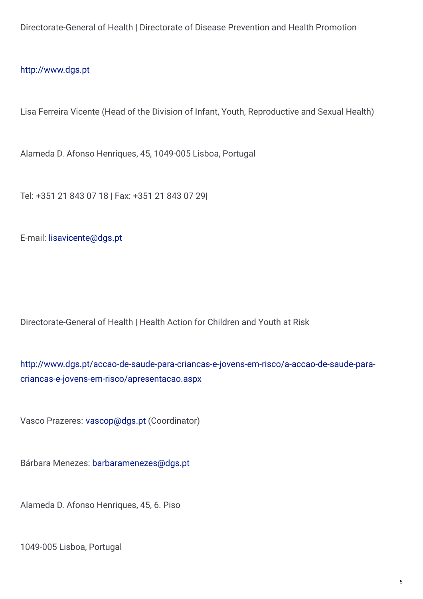Directorate-General of Health | Directorate of Disease Prevention and Health Promotion

#### <http://www.dgs.pt>

Lisa Ferreira Vicente (Head of the Division of Infant, Youth, Reproductive and Sexual Health)

Alameda D. Afonso Henriques, 45, 1049-005 Lisboa, Portugal

Tel: +351 21 843 07 18 | Fax: +351 21 843 07 29|

E-mail: [lisavicente@dgs.pt](mailto:lisavicente@dgs.pt)

Directorate-General of Health | Health Action for Children and Youth at Risk

[http://www.dgs.pt/accao-de-saude-para-criancas-e-jovens-em-risco/a-accao-de-saude-para](http://www.dgs.pt/accao-de-saude-para-criancas-e-jovens-em-risco/a-accao-de-saude-para-criancas-e-jovens-em-risco/apresentacao.aspx)criancas-e-jovens-em-risco/apresentacao.aspx

Vasco Prazeres: [vascop@dgs.pt](mailto:vascop@dgs.pt) (Coordinator)

Bárbara Menezes: [barbaramenezes@dgs.pt](mailto:barbaramenezes@dgs.pt)

Alameda D. Afonso Henriques, 45, 6. Piso

1049-005 Lisboa, Portugal